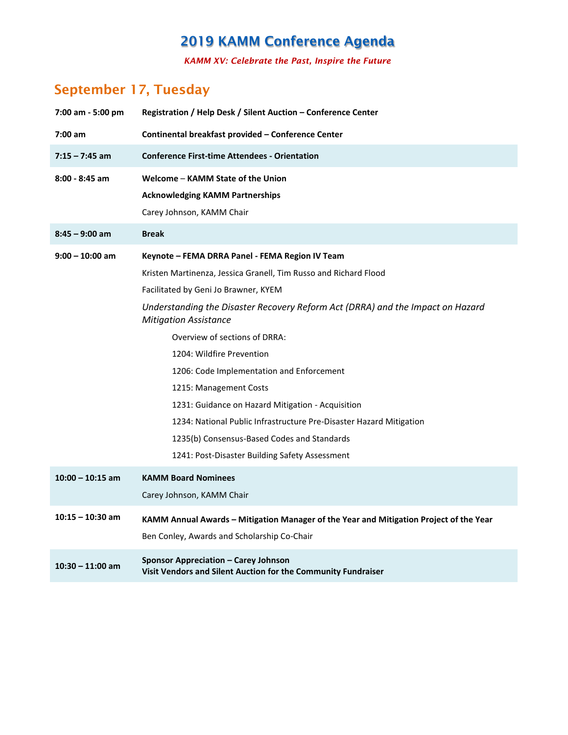*KAMM XV: Celebrate the Past, Inspire the Future*

### **September 17, Tuesday**

| 7:00 am - 5:00 pm  | Registration / Help Desk / Silent Auction - Conference Center                                                  |  |  |
|--------------------|----------------------------------------------------------------------------------------------------------------|--|--|
| $7:00$ am          | Continental breakfast provided - Conference Center                                                             |  |  |
| $7:15 - 7:45$ am   | <b>Conference First-time Attendees - Orientation</b>                                                           |  |  |
| $8:00 - 8:45$ am   | Welcome - KAMM State of the Union                                                                              |  |  |
|                    | <b>Acknowledging KAMM Partnerships</b>                                                                         |  |  |
|                    | Carey Johnson, KAMM Chair                                                                                      |  |  |
| $8:45 - 9:00$ am   | <b>Break</b>                                                                                                   |  |  |
| $9:00 - 10:00$ am  | Keynote - FEMA DRRA Panel - FEMA Region IV Team                                                                |  |  |
|                    | Kristen Martinenza, Jessica Granell, Tim Russo and Richard Flood                                               |  |  |
|                    | Facilitated by Geni Jo Brawner, KYEM                                                                           |  |  |
|                    | Understanding the Disaster Recovery Reform Act (DRRA) and the Impact on Hazard<br><b>Mitigation Assistance</b> |  |  |
|                    | Overview of sections of DRRA:                                                                                  |  |  |
|                    | 1204: Wildfire Prevention                                                                                      |  |  |
|                    | 1206: Code Implementation and Enforcement                                                                      |  |  |
|                    | 1215: Management Costs                                                                                         |  |  |
|                    | 1231: Guidance on Hazard Mitigation - Acquisition                                                              |  |  |
|                    | 1234: National Public Infrastructure Pre-Disaster Hazard Mitigation                                            |  |  |
|                    | 1235(b) Consensus-Based Codes and Standards                                                                    |  |  |
|                    | 1241: Post-Disaster Building Safety Assessment                                                                 |  |  |
| $10:00 - 10:15$ am | <b>KAMM Board Nominees</b>                                                                                     |  |  |
|                    | Carey Johnson, KAMM Chair                                                                                      |  |  |
| $10:15 - 10:30$ am | KAMM Annual Awards - Mitigation Manager of the Year and Mitigation Project of the Year                         |  |  |
|                    | Ben Conley, Awards and Scholarship Co-Chair                                                                    |  |  |
| $10:30 - 11:00$ am | Sponsor Appreciation – Carey Johnson<br>Visit Vendors and Silent Auction for the Community Fundraiser          |  |  |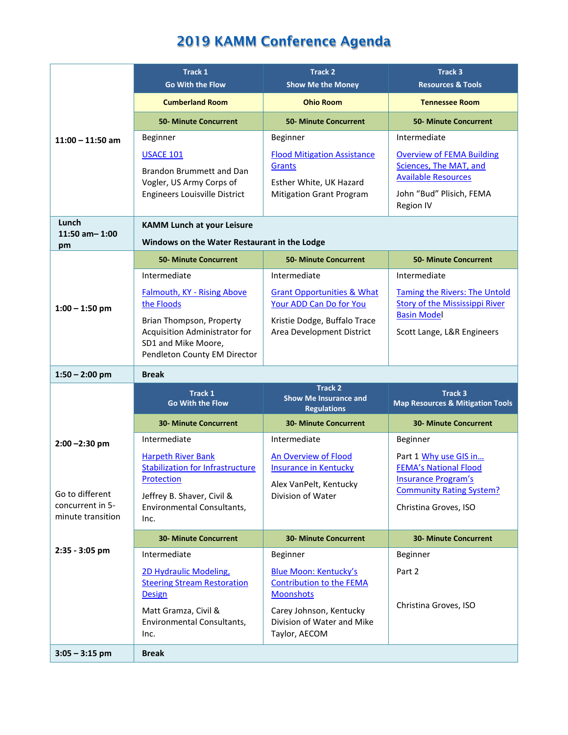|                                       | Track 1<br><b>Go With the Flow</b>                                               | <b>Track 2</b><br><b>Show Me the Money</b>                              | Track 3<br><b>Resources &amp; Tools</b>                                                  |
|---------------------------------------|----------------------------------------------------------------------------------|-------------------------------------------------------------------------|------------------------------------------------------------------------------------------|
|                                       | <b>Cumberland Room</b>                                                           | <b>Ohio Room</b>                                                        | <b>Tennessee Room</b>                                                                    |
|                                       | <b>50- Minute Concurrent</b>                                                     | <b>50- Minute Concurrent</b>                                            | <b>50- Minute Concurrent</b>                                                             |
| $11:00 - 11:50$ am                    | Beginner                                                                         | Beginner                                                                | Intermediate                                                                             |
|                                       | <b>USACE 101</b><br>Brandon Brummett and Dan<br>Vogler, US Army Corps of         | <b>Flood Mitigation Assistance</b><br>Grants<br>Esther White, UK Hazard | <b>Overview of FEMA Building</b><br>Sciences, The MAT, and<br><b>Available Resources</b> |
|                                       | <b>Engineers Louisville District</b>                                             | <b>Mitigation Grant Program</b>                                         | John "Bud" Plisich, FEMA<br>Region IV                                                    |
| Lunch<br>$11:50$ am- $1:00$           | <b>KAMM Lunch at your Leisure</b>                                                |                                                                         |                                                                                          |
| pm                                    | Windows on the Water Restaurant in the Lodge                                     |                                                                         |                                                                                          |
|                                       | <b>50- Minute Concurrent</b>                                                     | <b>50- Minute Concurrent</b>                                            | <b>50- Minute Concurrent</b>                                                             |
|                                       | Intermediate                                                                     | Intermediate                                                            | Intermediate                                                                             |
| $1:00 - 1:50$ pm                      | <b>Falmouth, KY - Rising Above</b><br>the Floods                                 | <b>Grant Opportunities &amp; What</b><br>Your ADD Can Do for You        | <b>Taming the Rivers: The Untold</b><br><b>Story of the Mississippi River</b>            |
|                                       | Brian Thompson, Property<br>Acquisition Administrator for<br>SD1 and Mike Moore, | Kristie Dodge, Buffalo Trace<br>Area Development District               | <b>Basin Model</b><br>Scott Lange, L&R Engineers                                         |
|                                       | Pendleton County EM Director                                                     |                                                                         |                                                                                          |
| $1:50 - 2:00$ pm                      | <b>Break</b>                                                                     |                                                                         |                                                                                          |
|                                       | <b>Track 1</b><br><b>Go With the Flow</b>                                        | <b>Track 2</b><br><b>Show Me Insurance and</b><br><b>Regulations</b>    | <b>Track 3</b><br><b>Map Resources &amp; Mitigation Tools</b>                            |
|                                       | <b>30- Minute Concurrent</b>                                                     | <b>30- Minute Concurrent</b>                                            | <b>30- Minute Concurrent</b>                                                             |
| $2:00 - 2:30$ pm                      | Intermediate                                                                     | Intermediate                                                            | Beginner                                                                                 |
|                                       | <b>Harpeth River Bank</b><br><b>Stabilization for Infrastructure</b>             | <b>An Overview of Flood</b><br><b>Insurance in Kentucky</b>             | Part 1 Why use GIS in<br><b>FEMA's National Flood</b>                                    |
| Go to different                       | Protection                                                                       | Alex VanPelt, Kentucky<br>Division of Water                             | <b>Insurance Program's</b><br><b>Community Rating System?</b>                            |
| concurrent in 5-<br>minute transition | Jeffrey B. Shaver, Civil &<br>Environmental Consultants,<br>Inc.                 |                                                                         | Christina Groves, ISO                                                                    |
|                                       | <b>30- Minute Concurrent</b>                                                     | <b>30- Minute Concurrent</b>                                            | <b>30- Minute Concurrent</b>                                                             |
| $2:35 - 3:05$ pm                      | Intermediate                                                                     | Beginner                                                                | Beginner                                                                                 |
|                                       | 2D Hydraulic Modeling,                                                           | <b>Blue Moon: Kentucky's</b>                                            | Part 2                                                                                   |
|                                       | <b>Steering Stream Restoration</b><br><b>Design</b>                              | <b>Contribution to the FEMA</b><br><b>Moonshots</b>                     |                                                                                          |
|                                       | Matt Gramza, Civil &<br>Environmental Consultants,<br>Inc.                       | Carey Johnson, Kentucky<br>Division of Water and Mike<br>Taylor, AECOM  | Christina Groves, ISO                                                                    |
| $3:05 - 3:15$ pm                      | <b>Break</b>                                                                     |                                                                         |                                                                                          |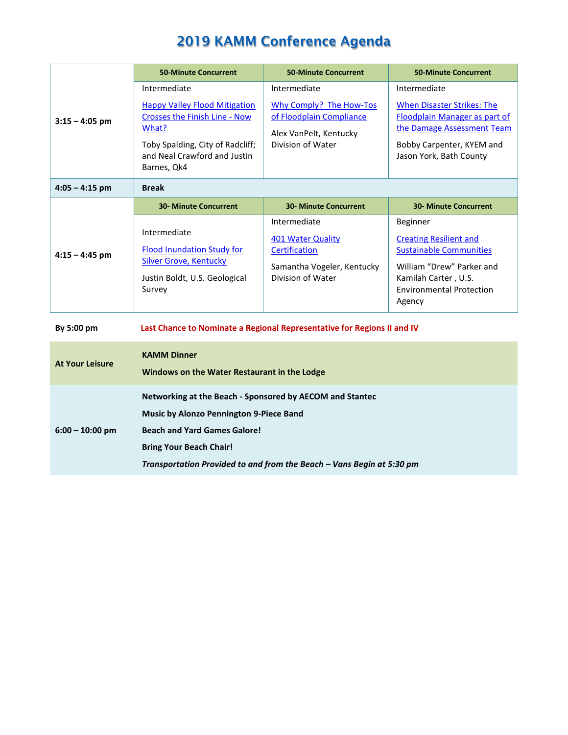|                        | <b>50-Minute Concurrent</b>                                                                                                   | <b>50-Minute Concurrent</b>                                                                           | <b>50-Minute Concurrent</b>                                                                                                                                                   |  |
|------------------------|-------------------------------------------------------------------------------------------------------------------------------|-------------------------------------------------------------------------------------------------------|-------------------------------------------------------------------------------------------------------------------------------------------------------------------------------|--|
| $3:15 - 4:05$ pm       | Intermediate                                                                                                                  | Intermediate                                                                                          | Intermediate                                                                                                                                                                  |  |
|                        | <b>Happy Valley Flood Mitigation</b><br><b>Crosses the Finish Line - Now</b><br>What?                                         | Why Comply? The How-Tos<br>of Floodplain Compliance<br>Alex VanPelt, Kentucky<br>Division of Water    | <b>When Disaster Strikes: The</b><br><b>Floodplain Manager as part of</b><br>the Damage Assessment Team                                                                       |  |
|                        | Toby Spalding, City of Radcliff;<br>and Neal Crawford and Justin<br>Barnes, Qk4                                               |                                                                                                       | Bobby Carpenter, KYEM and<br>Jason York, Bath County                                                                                                                          |  |
| $4:05 - 4:15$ pm       | <b>Break</b>                                                                                                                  |                                                                                                       |                                                                                                                                                                               |  |
|                        | <b>30- Minute Concurrent</b>                                                                                                  | <b>30- Minute Concurrent</b>                                                                          | <b>30- Minute Concurrent</b>                                                                                                                                                  |  |
| $4:15 - 4:45$ pm       | Intermediate<br><b>Flood Inundation Study for</b><br><b>Silver Grove, Kentucky</b><br>Justin Boldt, U.S. Geological<br>Survey | Intermediate<br>401 Water Quality<br>Certification<br>Samantha Vogeler, Kentucky<br>Division of Water | Beginner<br><b>Creating Resilient and</b><br><b>Sustainable Communities</b><br>William "Drew" Parker and<br>Kamilah Carter, U.S.<br><b>Environmental Protection</b><br>Agency |  |
| By 5:00 pm             | Last Chance to Nominate a Regional Representative for Regions II and IV                                                       |                                                                                                       |                                                                                                                                                                               |  |
| <b>At Your Leisure</b> | <b>KAMM Dinner</b><br>Windows on the Water Restaurant in the Lodge                                                            |                                                                                                       |                                                                                                                                                                               |  |
|                        | Networking at the Beach - Sponsored by AECOM and Stantec                                                                      |                                                                                                       |                                                                                                                                                                               |  |
|                        | <b>Music by Alonzo Pennington 9-Piece Band</b>                                                                                |                                                                                                       |                                                                                                                                                                               |  |
| $6:00 - 10:00$ pm      | <b>Beach and Yard Games Galore!</b>                                                                                           |                                                                                                       |                                                                                                                                                                               |  |
|                        | <b>Bring Your Beach Chair!</b>                                                                                                |                                                                                                       |                                                                                                                                                                               |  |
|                        | Transportation Provided to and from the Beach - Vans Begin at 5:30 pm                                                         |                                                                                                       |                                                                                                                                                                               |  |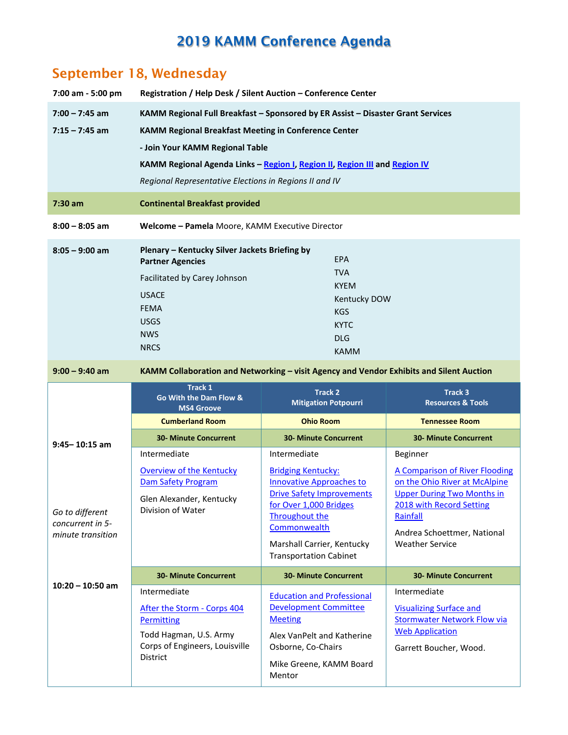### **September 18, Wednesday**

| 7:00 am - 5:00 pm                     | Registration / Help Desk / Silent Auction - Conference Center                                                                        |                                                                                         |                                                               |  |
|---------------------------------------|--------------------------------------------------------------------------------------------------------------------------------------|-----------------------------------------------------------------------------------------|---------------------------------------------------------------|--|
| $7:00 - 7:45$ am                      | KAMM Regional Full Breakfast - Sponsored by ER Assist - Disaster Grant Services                                                      |                                                                                         |                                                               |  |
| $7:15 - 7:45$ am                      | <b>KAMM Regional Breakfast Meeting in Conference Center</b>                                                                          |                                                                                         |                                                               |  |
|                                       | - Join Your KAMM Regional Table                                                                                                      |                                                                                         |                                                               |  |
|                                       | KAMM Regional Agenda Links - Region I, Region II, Region III and Region IV                                                           |                                                                                         |                                                               |  |
|                                       | Regional Representative Elections in Regions II and IV                                                                               |                                                                                         |                                                               |  |
| $7:30$ am                             | <b>Continental Breakfast provided</b>                                                                                                |                                                                                         |                                                               |  |
| $8:00 - 8:05$ am                      | Welcome - Pamela Moore, KAMM Executive Director                                                                                      |                                                                                         |                                                               |  |
| $8:05 - 9:00$ am                      | Plenary - Kentucky Silver Jackets Briefing by<br><b>EPA</b><br><b>Partner Agencies</b>                                               |                                                                                         |                                                               |  |
|                                       | Facilitated by Carey Johnson                                                                                                         | <b>TVA</b>                                                                              |                                                               |  |
|                                       | <b>USACE</b>                                                                                                                         | <b>KYEM</b><br>Kentucky DOW                                                             |                                                               |  |
|                                       | <b>FEMA</b>                                                                                                                          | <b>KGS</b>                                                                              |                                                               |  |
|                                       | <b>USGS</b>                                                                                                                          | <b>KYTC</b>                                                                             |                                                               |  |
|                                       | <b>NWS</b><br><b>NRCS</b>                                                                                                            | <b>DLG</b>                                                                              |                                                               |  |
|                                       |                                                                                                                                      | <b>KAMM</b>                                                                             |                                                               |  |
| $9:00 - 9:40$ am                      |                                                                                                                                      | KAMM Collaboration and Networking - visit Agency and Vendor Exhibits and Silent Auction |                                                               |  |
|                                       | <b>Track 1</b><br><b>Track 2</b><br>Track 3<br>Go With the Dam Flow &<br><b>Mitigation Potpourri</b><br><b>Resources &amp; Tools</b> |                                                                                         |                                                               |  |
|                                       | <b>MS4 Groove</b>                                                                                                                    |                                                                                         |                                                               |  |
|                                       | <b>Cumberland Room</b>                                                                                                               | <b>Ohio Room</b>                                                                        | <b>Tennessee Room</b>                                         |  |
|                                       | <b>30- Minute Concurrent</b>                                                                                                         | <b>30- Minute Concurrent</b>                                                            | <b>30- Minute Concurrent</b>                                  |  |
| $9:45 - 10:15$ am                     | Intermediate                                                                                                                         | Intermediate                                                                            | Beginner                                                      |  |
|                                       | <b>Overview of the Kentucky</b>                                                                                                      | <b>Bridging Kentucky:</b>                                                               | A Comparison of River Flooding                                |  |
|                                       | Dam Safety Program                                                                                                                   | <b>Innovative Approaches to</b>                                                         | on the Ohio River at McAlpine                                 |  |
|                                       | Glen Alexander, Kentucky                                                                                                             | <b>Drive Safety Improvements</b><br>for Over 1,000 Bridges                              | <b>Upper During Two Months in</b><br>2018 with Record Setting |  |
| Go to different                       | Division of Water                                                                                                                    | <b>Throughout the</b>                                                                   | Rainfall                                                      |  |
| concurrent in 5-<br>minute transition |                                                                                                                                      | Commonwealth                                                                            | Andrea Schoettmer, National                                   |  |
|                                       |                                                                                                                                      | Marshall Carrier, Kentucky<br><b>Transportation Cabinet</b>                             | <b>Weather Service</b>                                        |  |
|                                       | <b>30- Minute Concurrent</b>                                                                                                         | <b>30- Minute Concurrent</b>                                                            | <b>30- Minute Concurrent</b>                                  |  |
| $10:20 - 10:50$ am                    | Intermediate                                                                                                                         |                                                                                         | Intermediate                                                  |  |
|                                       | After the Storm - Corps 404                                                                                                          | <b>Education and Professional</b><br><b>Development Committee</b>                       | <b>Visualizing Surface and</b>                                |  |
|                                       | <b>Permitting</b>                                                                                                                    | <b>Meeting</b>                                                                          | <b>Stormwater Network Flow via</b>                            |  |
|                                       | Todd Hagman, U.S. Army                                                                                                               | Alex VanPelt and Katherine                                                              | <b>Web Application</b>                                        |  |
|                                       | Corps of Engineers, Louisville<br>District                                                                                           | Osborne, Co-Chairs<br>Mike Greene, KAMM Board                                           | Garrett Boucher, Wood.                                        |  |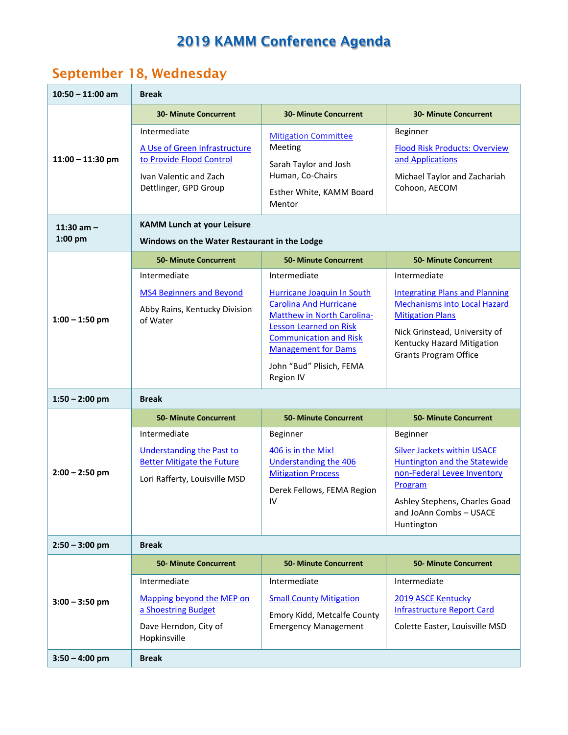### **September 18, Wednesday**

| $10:50 - 11:00$ am          | <b>Break</b>                                                                                                                 |                                                                                                                           |                                                                                                                          |
|-----------------------------|------------------------------------------------------------------------------------------------------------------------------|---------------------------------------------------------------------------------------------------------------------------|--------------------------------------------------------------------------------------------------------------------------|
|                             | <b>30- Minute Concurrent</b>                                                                                                 | <b>30- Minute Concurrent</b>                                                                                              | <b>30- Minute Concurrent</b>                                                                                             |
| $11:00 - 11:30$ pm          | Intermediate<br>A Use of Green Infrastructure<br>to Provide Flood Control<br>Ivan Valentic and Zach<br>Dettlinger, GPD Group | <b>Mitigation Committee</b><br>Meeting<br>Sarah Taylor and Josh<br>Human, Co-Chairs<br>Esther White, KAMM Board<br>Mentor | Beginner<br><b>Flood Risk Products: Overview</b><br>and Applications<br>Michael Taylor and Zachariah<br>Cohoon, AECOM    |
| $11:30$ am $-$<br>$1:00$ pm | <b>KAMM Lunch at your Leisure</b><br>Windows on the Water Restaurant in the Lodge                                            |                                                                                                                           |                                                                                                                          |
|                             | <b>50- Minute Concurrent</b>                                                                                                 | <b>50- Minute Concurrent</b>                                                                                              | <b>50- Minute Concurrent</b>                                                                                             |
|                             | Intermediate                                                                                                                 | Intermediate                                                                                                              | Intermediate                                                                                                             |
| $1:00 - 1:50$ pm            | <b>MS4 Beginners and Beyond</b><br>Abby Rains, Kentucky Division<br>of Water                                                 | Hurricane Joaquin In South<br><b>Carolina And Hurricane</b><br>Matthew in North Carolina-                                 | <b>Integrating Plans and Planning</b><br><b>Mechanisms into Local Hazard</b><br><b>Mitigation Plans</b>                  |
|                             |                                                                                                                              | <b>Lesson Learned on Risk</b><br><b>Communication and Risk</b><br><b>Management for Dams</b>                              | Nick Grinstead, University of<br>Kentucky Hazard Mitigation<br><b>Grants Program Office</b>                              |
|                             |                                                                                                                              | John "Bud" Plisich, FEMA<br>Region IV                                                                                     |                                                                                                                          |
| $1:50 - 2:00$ pm            | <b>Break</b>                                                                                                                 |                                                                                                                           |                                                                                                                          |
|                             | <b>50- Minute Concurrent</b>                                                                                                 | <b>50- Minute Concurrent</b>                                                                                              | <b>50- Minute Concurrent</b>                                                                                             |
| $2:00 - 2:50$ pm            | Intermediate<br><b>Understanding the Past to</b><br><b>Better Mitigate the Future</b><br>Lori Rafferty, Louisville MSD       | Beginner<br>406 is in the Mix!<br>Understanding the 406<br><b>Mitigation Process</b><br>Derek Fellows, FEMA Region        | Beginner<br><b>Silver Jackets within USACE</b><br>Huntington and the Statewide<br>non-Federal Levee Inventory<br>Program |
|                             |                                                                                                                              | 1V                                                                                                                        | Ashley Stephens, Charles Goad<br>and JoAnn Combs - USACE<br>Huntington                                                   |
| $2:50 - 3:00$ pm            | <b>Break</b>                                                                                                                 |                                                                                                                           |                                                                                                                          |
|                             | <b>50- Minute Concurrent</b>                                                                                                 | <b>50- Minute Concurrent</b>                                                                                              | <b>50- Minute Concurrent</b>                                                                                             |
| $3:00 - 3:50$ pm            | Intermediate<br>Mapping beyond the MEP on<br>a Shoestring Budget<br>Dave Herndon, City of<br>Hopkinsville                    | Intermediate<br><b>Small County Mitigation</b><br>Emory Kidd, Metcalfe County<br><b>Emergency Management</b>              | Intermediate<br>2019 ASCE Kentucky<br><b>Infrastructure Report Card</b><br>Colette Easter, Louisville MSD                |
| $3:50 - 4:00$ pm            | <b>Break</b>                                                                                                                 |                                                                                                                           |                                                                                                                          |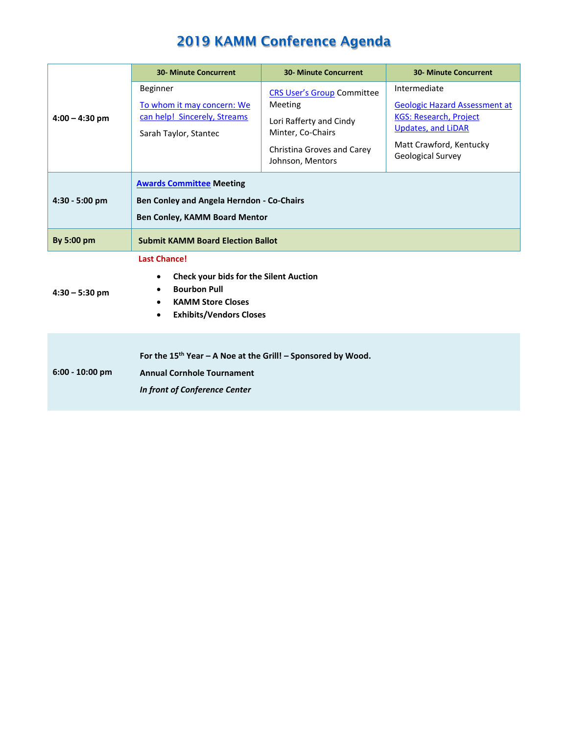|                   | <b>30- Minute Concurrent</b>                                                                                                                                                                          | <b>30- Minute Concurrent</b>                                                                                                                   | <b>30- Minute Concurrent</b>                                                                                                                                              |
|-------------------|-------------------------------------------------------------------------------------------------------------------------------------------------------------------------------------------------------|------------------------------------------------------------------------------------------------------------------------------------------------|---------------------------------------------------------------------------------------------------------------------------------------------------------------------------|
| $4:00 - 4:30$ pm  | Beginner<br>To whom it may concern: We<br>can help! Sincerely, Streams<br>Sarah Taylor, Stantec                                                                                                       | <b>CRS User's Group Committee</b><br>Meeting<br>Lori Rafferty and Cindy<br>Minter, Co-Chairs<br>Christina Groves and Carey<br>Johnson, Mentors | Intermediate<br><b>Geologic Hazard Assessment at</b><br><b>KGS: Research, Project</b><br><b>Updates, and LiDAR</b><br>Matt Crawford, Kentucky<br><b>Geological Survey</b> |
| $4:30 - 5:00$ pm  | <b>Awards Committee Meeting</b><br>Ben Conley and Angela Herndon - Co-Chairs<br><b>Ben Conley, KAMM Board Mentor</b>                                                                                  |                                                                                                                                                |                                                                                                                                                                           |
| By 5:00 pm        | <b>Submit KAMM Board Election Ballot</b>                                                                                                                                                              |                                                                                                                                                |                                                                                                                                                                           |
| $4:30 - 5:30$ pm  | <b>Last Chance!</b><br><b>Check your bids for the Silent Auction</b><br>٠<br><b>Bourbon Pull</b><br>$\bullet$<br><b>KAMM Store Closes</b><br>$\bullet$<br><b>Exhibits/Vendors Closes</b><br>$\bullet$ |                                                                                                                                                |                                                                                                                                                                           |
| $6:00 - 10:00$ pm | For the $15^{th}$ Year - A Noe at the Grill! - Sponsored by Wood.<br><b>Annual Cornhole Tournament</b><br>In front of Conference Center                                                               |                                                                                                                                                |                                                                                                                                                                           |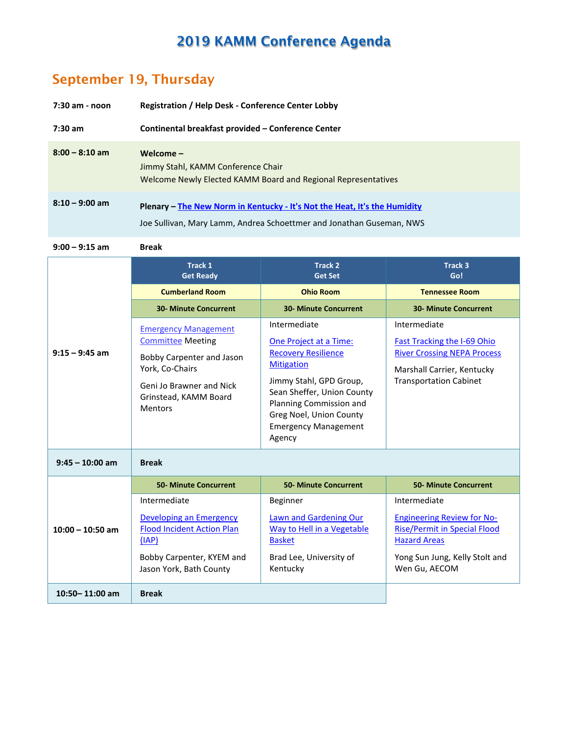#### **September 19, Thursday**

| 7:30 am - noon   | <b>Registration / Help Desk - Conference Center Lobby</b>                                                                                         |  |
|------------------|---------------------------------------------------------------------------------------------------------------------------------------------------|--|
| $7:30$ am        | Continental breakfast provided – Conference Center                                                                                                |  |
| $8:00 - 8:10$ am | Welcome $-$<br>Jimmy Stahl, KAMM Conference Chair<br>Welcome Newly Elected KAMM Board and Regional Representatives                                |  |
| $8:10 - 9:00$ am | Plenary – The New Norm in Kentucky - It's Not the Heat, It's the Humidity<br>Joe Sullivan, Mary Lamm, Andrea Schoettmer and Jonathan Guseman, NWS |  |

**9:00 – 9:15 am Break**

|                    | Track 1<br><b>Get Ready</b>                                                                                                                                                    | <b>Track 2</b><br><b>Get Set</b>                                                                                                                                                                                                                  | Track <sub>3</sub><br>Go!                                                                                                                               |
|--------------------|--------------------------------------------------------------------------------------------------------------------------------------------------------------------------------|---------------------------------------------------------------------------------------------------------------------------------------------------------------------------------------------------------------------------------------------------|---------------------------------------------------------------------------------------------------------------------------------------------------------|
|                    | <b>Cumberland Room</b>                                                                                                                                                         | <b>Ohio Room</b>                                                                                                                                                                                                                                  | <b>Tennessee Room</b>                                                                                                                                   |
|                    | <b>30- Minute Concurrent</b>                                                                                                                                                   | <b>30- Minute Concurrent</b>                                                                                                                                                                                                                      | <b>30- Minute Concurrent</b>                                                                                                                            |
| $9:15 - 9:45$ am   | <b>Emergency Management</b><br><b>Committee Meeting</b><br>Bobby Carpenter and Jason<br>York, Co-Chairs<br>Geni Jo Brawner and Nick<br>Grinstead, KAMM Board<br><b>Mentors</b> | Intermediate<br>One Project at a Time:<br><b>Recovery Resilience</b><br><b>Mitigation</b><br>Jimmy Stahl, GPD Group,<br>Sean Sheffer, Union County<br>Planning Commission and<br>Greg Noel, Union County<br><b>Emergency Management</b><br>Agency | Intermediate<br><b>Fast Tracking the I-69 Ohio</b><br><b>River Crossing NEPA Process</b><br>Marshall Carrier, Kentucky<br><b>Transportation Cabinet</b> |
| $9:45 - 10:00$ am  | <b>Break</b>                                                                                                                                                                   |                                                                                                                                                                                                                                                   |                                                                                                                                                         |
|                    | <b>50- Minute Concurrent</b>                                                                                                                                                   | <b>50- Minute Concurrent</b>                                                                                                                                                                                                                      | <b>50- Minute Concurrent</b>                                                                                                                            |
| $10:00 - 10:50$ am | Intermediate                                                                                                                                                                   | Beginner                                                                                                                                                                                                                                          | Intermediate                                                                                                                                            |
|                    | <b>Developing an Emergency</b><br><b>Flood Incident Action Plan</b><br>(IAP)<br>Bobby Carpenter, KYEM and<br>Jason York, Bath County                                           | <b>Lawn and Gardening Our</b><br>Way to Hell in a Vegetable<br><b>Basket</b><br>Brad Lee, University of<br>Kentucky                                                                                                                               | <b>Engineering Review for No-</b><br><b>Rise/Permit in Special Flood</b><br><b>Hazard Areas</b><br>Yong Sun Jung, Kelly Stolt and<br>Wen Gu, AECOM      |
| $10:50 - 11:00$ am | <b>Break</b>                                                                                                                                                                   |                                                                                                                                                                                                                                                   |                                                                                                                                                         |